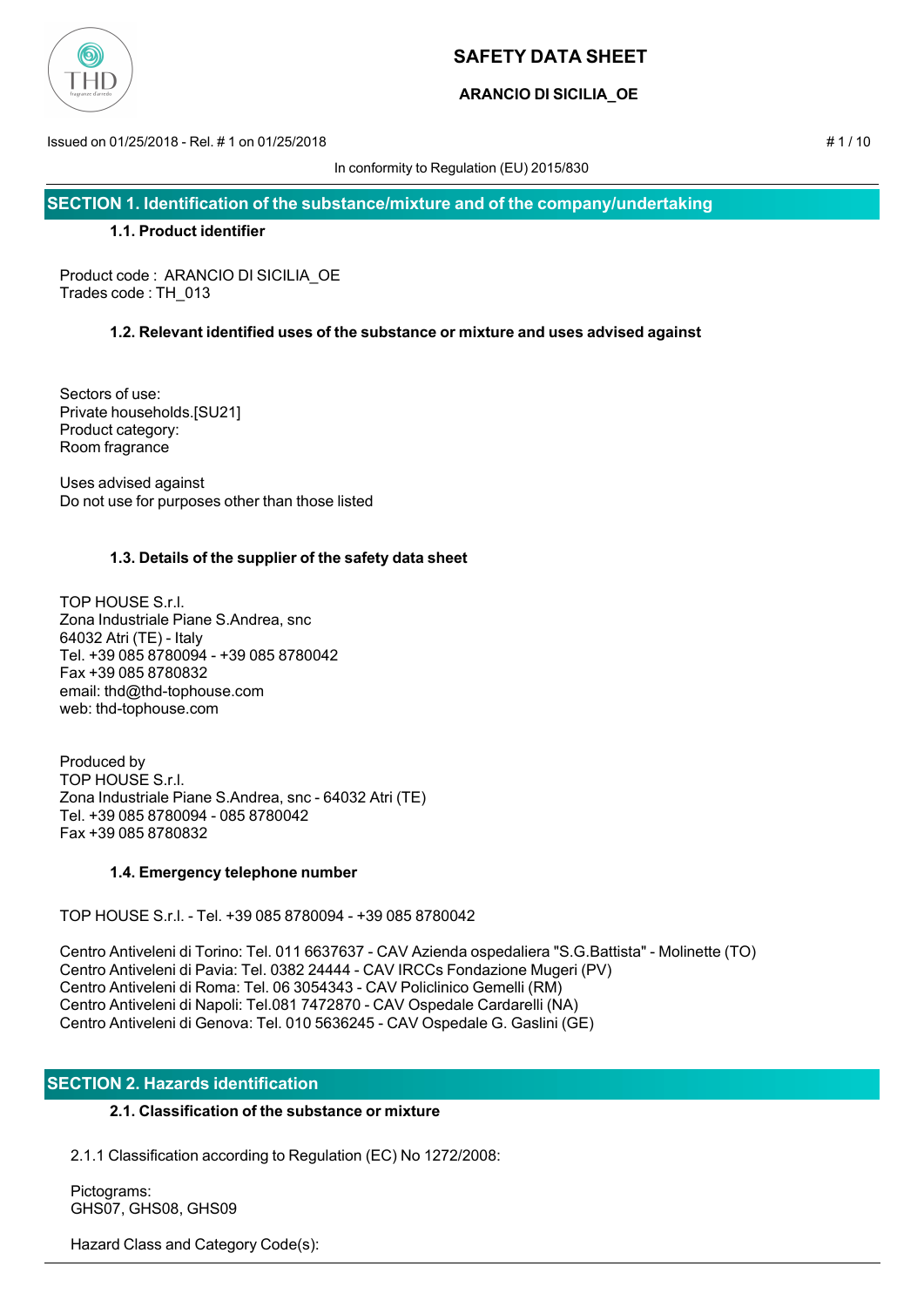

## **ARANCIO DI SICILIA\_OE**

Issued on 01/25/2018 - Rel. # 1 on 01/25/2018 # 1 / 10

In conformity to Regulation (EU) 2015/830

**SECTION 1. Identification of the substance/mixture and of the company/undertaking**

## **1.1. Product identifier**

Product code : ARANCIO DI SICILIA\_OE Trades code : TH\_013

## **1.2. Relevant identified uses of the substance or mixture and uses advised against**

Sectors of use: Private households.[SU21] Product category: Room fragrance

Uses advised against Do not use for purposes other than those listed

## **1.3. Details of the supplier of the safety data sheet**

TOP HOUSE S.r.l. Zona Industriale Piane S.Andrea, snc 64032 Atri (TE) - Italy Tel. +39 085 8780094 - +39 085 8780042 Fax +39 085 8780832 email: thd@thd-tophouse.com web: thd-tophouse.com

Produced by TOP HOUSE S.r.l. Zona Industriale Piane S.Andrea, snc - 64032 Atri (TE) Tel. +39 085 8780094 - 085 8780042 Fax +39 085 8780832

## **1.4. Emergency telephone number**

TOP HOUSE S.r.l. - Tel. +39 085 8780094 - +39 085 8780042

Centro Antiveleni di Torino: Tel. 011 6637637 - CAV Azienda ospedaliera "S.G.Battista" - Molinette (TO) Centro Antiveleni di Pavia: Tel. 0382 24444 - CAV IRCCs Fondazione Mugeri (PV) Centro Antiveleni di Roma: Tel. 06 3054343 - CAV Policlinico Gemelli (RM) Centro Antiveleni di Napoli: Tel.081 7472870 - CAV Ospedale Cardarelli (NA) Centro Antiveleni di Genova: Tel. 010 5636245 - CAV Ospedale G. Gaslini (GE)

## **SECTION 2. Hazards identification**

## **2.1. Classification of the substance or mixture**

2.1.1 Classification according to Regulation (EC) No 1272/2008:

 Pictograms: GHS07, GHS08, GHS09

Hazard Class and Category Code(s):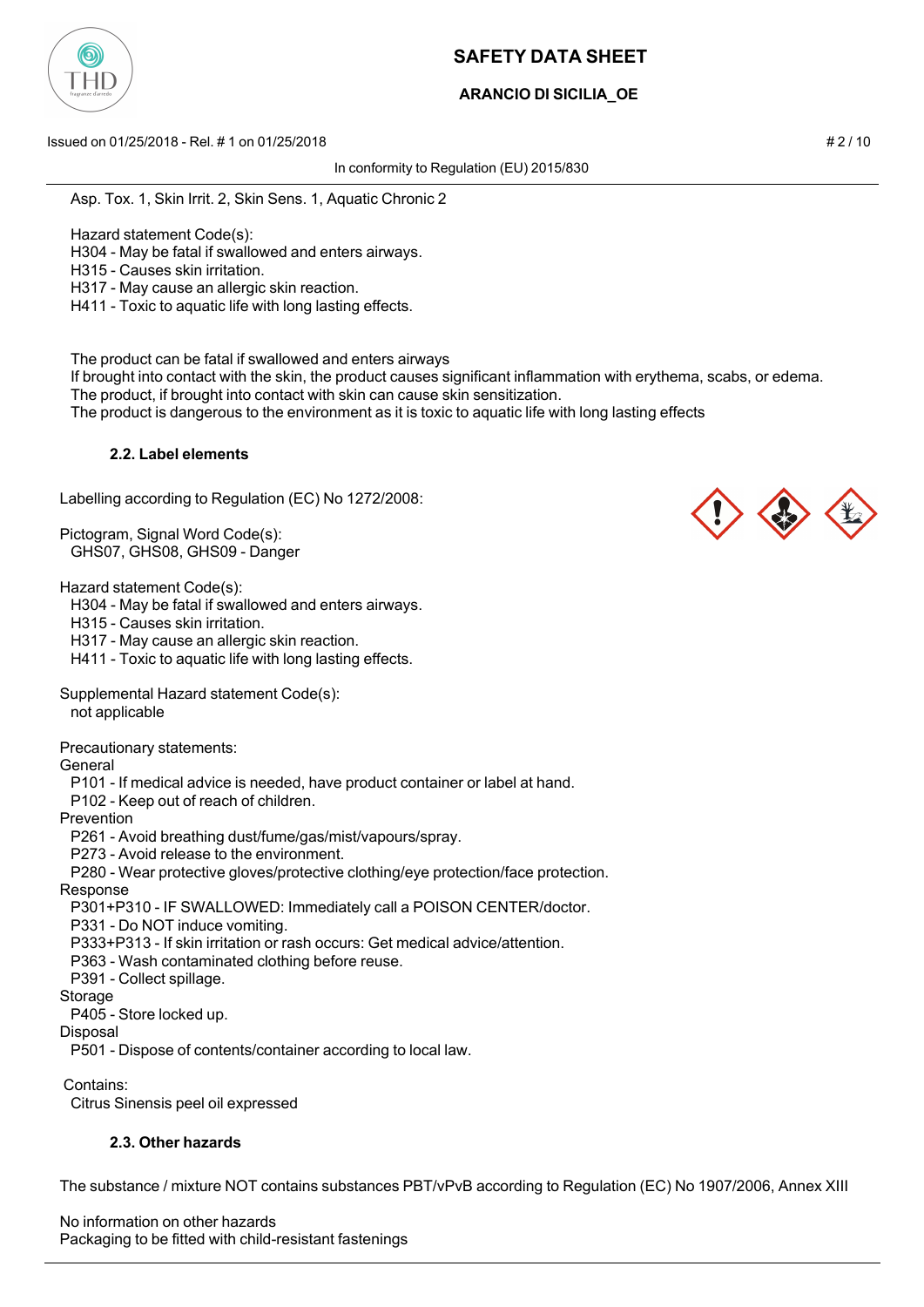

## **ARANCIO DI SICILIA\_OE**

Issued on 01/25/2018 - Rel. # 1 on 01/25/2018 # 2 / 10

In conformity to Regulation (EU) 2015/830

Asp. Tox. 1, Skin Irrit. 2, Skin Sens. 1, Aquatic Chronic 2

Hazard statement Code(s):

H304 - May be fatal if swallowed and enters airways.

H315 - Causes skin irritation.

H317 - May cause an allergic skin reaction.

H411 - Toxic to aquatic life with long lasting effects.

The product can be fatal if swallowed and enters airways

 If brought into contact with the skin, the product causes significant inflammation with erythema, scabs, or edema. The product, if brought into contact with skin can cause skin sensitization.

The product is dangerous to the environment as it is toxic to aquatic life with long lasting effects

### **2.2. Label elements**

Labelling according to Regulation (EC) No 1272/2008:

Pictogram, Signal Word Code(s): GHS07, GHS08, GHS09 - Danger

Hazard statement Code(s):

H304 - May be fatal if swallowed and enters airways.

H315 - Causes skin irritation.

H317 - May cause an allergic skin reaction.

H411 - Toxic to aquatic life with long lasting effects.

Supplemental Hazard statement Code(s):

not applicable

Precautionary statements:

General

P101 - If medical advice is needed, have product container or label at hand.

P102 - Keep out of reach of children.

Prevention

P261 - Avoid breathing dust/fume/gas/mist/vapours/spray.

P273 - Avoid release to the environment.

P280 - Wear protective gloves/protective clothing/eye protection/face protection.

### Response

P301+P310 - IF SWALLOWED: Immediately call a POISON CENTER/doctor.

P331 - Do NOT induce vomiting.

P333+P313 - If skin irritation or rash occurs: Get medical advice/attention.

P363 - Wash contaminated clothing before reuse.

P391 - Collect spillage.

#### Storage

P405 - Store locked up.

Disposal

P501 - Dispose of contents/container according to local law.

Contains:

Citrus Sinensis peel oil expressed

### **2.3. Other hazards**

The substance / mixture NOT contains substances PBT/vPvB according to Regulation (EC) No 1907/2006, Annex XIII

No information on other hazards Packaging to be fitted with child-resistant fastenings



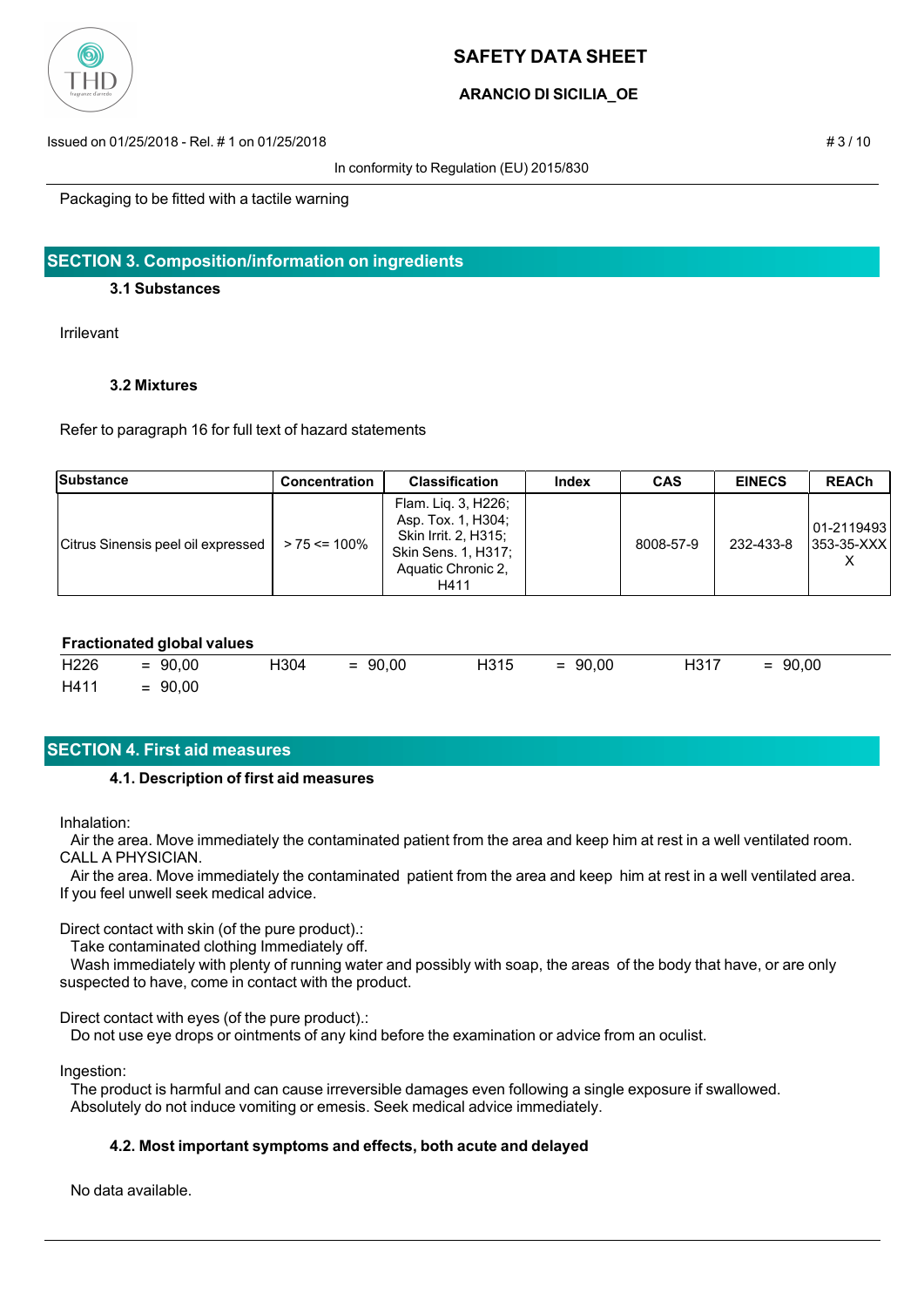

## **ARANCIO DI SICILIA\_OE**

Issued on 01/25/2018 - Rel. # 1 on 01/25/2018 # 3 / 10

#### In conformity to Regulation (EU) 2015/830

Packaging to be fitted with a tactile warning

## **SECTION 3. Composition/information on ingredients**

### **3.1 Substances**

Irrilevant

### **3.2 Mixtures**

Refer to paragraph 16 for full text of hazard statements

| Substance                          | <b>Concentration</b> | <b>Classification</b>                                                                                                  | Index | <b>CAS</b> | <b>EINECS</b> | <b>REACh</b>                  |
|------------------------------------|----------------------|------------------------------------------------------------------------------------------------------------------------|-------|------------|---------------|-------------------------------|
| Citrus Sinensis peel oil expressed | $> 75 \le 100\%$     | Flam. Liq. 3, H226;<br>Asp. Tox. 1, H304;<br>Skin Irrit. 2, H315;<br>Skin Sens. 1, H317;<br>Aquatic Chronic 2,<br>H411 |       | 8008-57-9  | 232-433-8     | 101-2119493<br>$ 353-35-XXX $ |

#### **Fractionated global values**

| H226 | $= 90,00$ | H304 | $= 90,00$ | H315 | $= 90,00$ | H317 | $= 90,00$ |
|------|-----------|------|-----------|------|-----------|------|-----------|
| H411 | $= 90,00$ |      |           |      |           |      |           |

## **SECTION 4. First aid measures**

### **4.1. Description of first aid measures**

Inhalation:

 Air the area. Move immediately the contaminated patient from the area and keep him at rest in a well ventilated room. CALL A PHYSICIAN.

 Air the area. Move immediately the contaminated patient from the area and keep him at rest in a well ventilated area. If you feel unwell seek medical advice.

Direct contact with skin (of the pure product).:

Take contaminated clothing Immediately off.

 Wash immediately with plenty of running water and possibly with soap, the areas of the body that have, or are only suspected to have, come in contact with the product.

Direct contact with eyes (of the pure product).:

Do not use eye drops or ointments of any kind before the examination or advice from an oculist.

Ingestion:

 The product is harmful and can cause irreversible damages even following a single exposure if swallowed. Absolutely do not induce vomiting or emesis. Seek medical advice immediately.

### **4.2. Most important symptoms and effects, both acute and delayed**

No data available.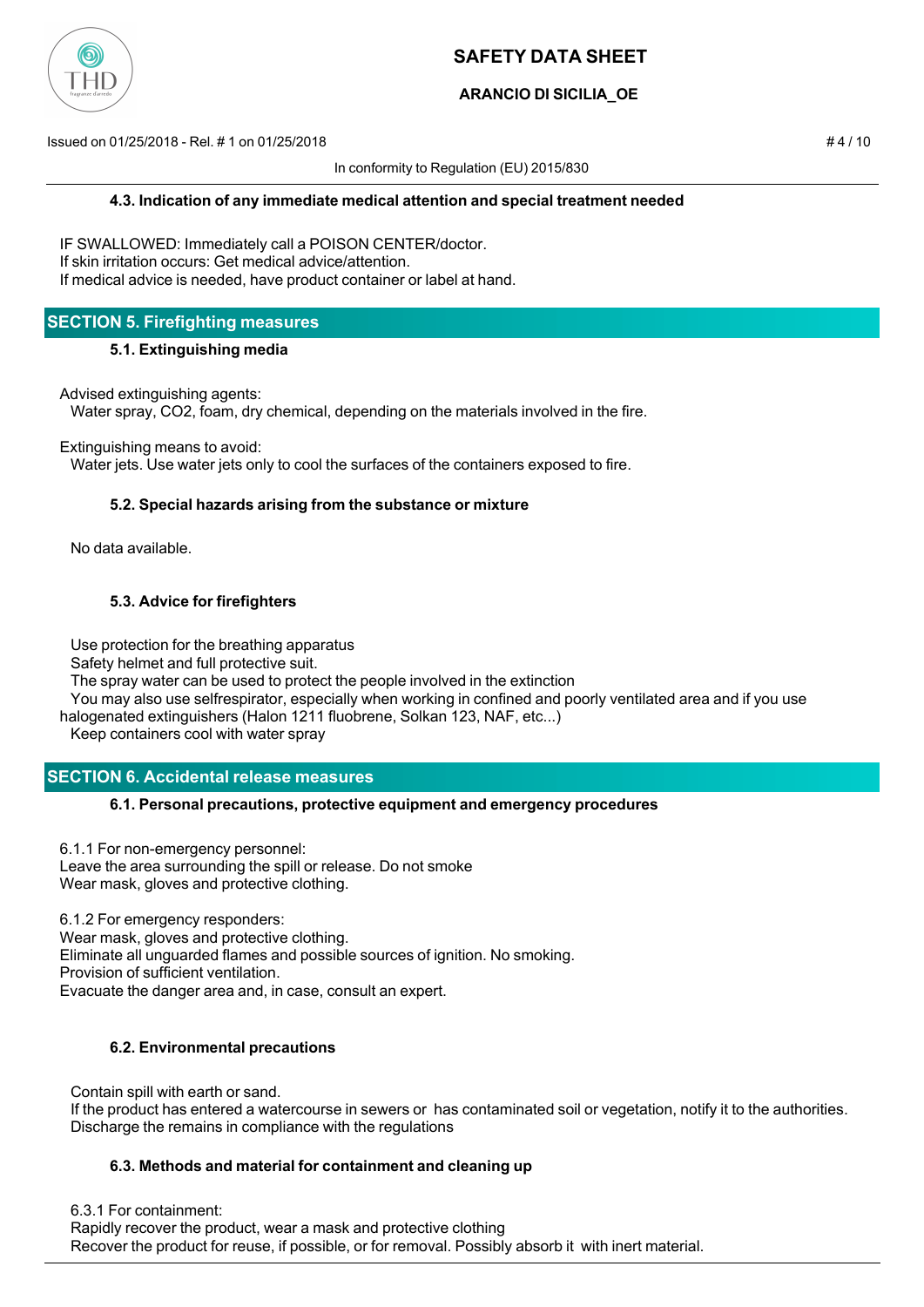

## **ARANCIO DI SICILIA\_OE**

Issued on 01/25/2018 - Rel. # 1 on 01/25/2018 # 4 / 10

In conformity to Regulation (EU) 2015/830

IF SWALLOWED: Immediately call a POISON CENTER/doctor. If skin irritation occurs: Get medical advice/attention. If medical advice is needed, have product container or label at hand.

## **SECTION 5. Firefighting measures**

### **5.1. Extinguishing media**

Advised extinguishing agents:

Water spray, CO2, foam, dry chemical, depending on the materials involved in the fire.

Extinguishing means to avoid:

Water jets. Use water jets only to cool the surfaces of the containers exposed to fire.

### **5.2. Special hazards arising from the substance or mixture**

No data available.

### **5.3. Advice for firefighters**

Use protection for the breathing apparatus

Safety helmet and full protective suit.

The spray water can be used to protect the people involved in the extinction

 You may also use selfrespirator, especially when working in confined and poorly ventilated area and if you use halogenated extinguishers (Halon 1211 fluobrene, Solkan 123, NAF, etc...)

Keep containers cool with water spray

## **SECTION 6. Accidental release measures**

### **6.1. Personal precautions, protective equipment and emergency procedures**

6.1.1 For non-emergency personnel: Leave the area surrounding the spill or release. Do not smoke Wear mask, gloves and protective clothing.

6.1.2 For emergency responders: Wear mask, gloves and protective clothing. Eliminate all unguarded flames and possible sources of ignition. No smoking. Provision of sufficient ventilation. Evacuate the danger area and, in case, consult an expert.

## **6.2. Environmental precautions**

 Contain spill with earth or sand. If the product has entered a watercourse in sewers or has contaminated soil or vegetation, notify it to the authorities. Discharge the remains in compliance with the regulations

### **6.3. Methods and material for containment and cleaning up**

6.3.1 For containment:

 Rapidly recover the product, wear a mask and protective clothing Recover the product for reuse, if possible, or for removal. Possibly absorb it with inert material.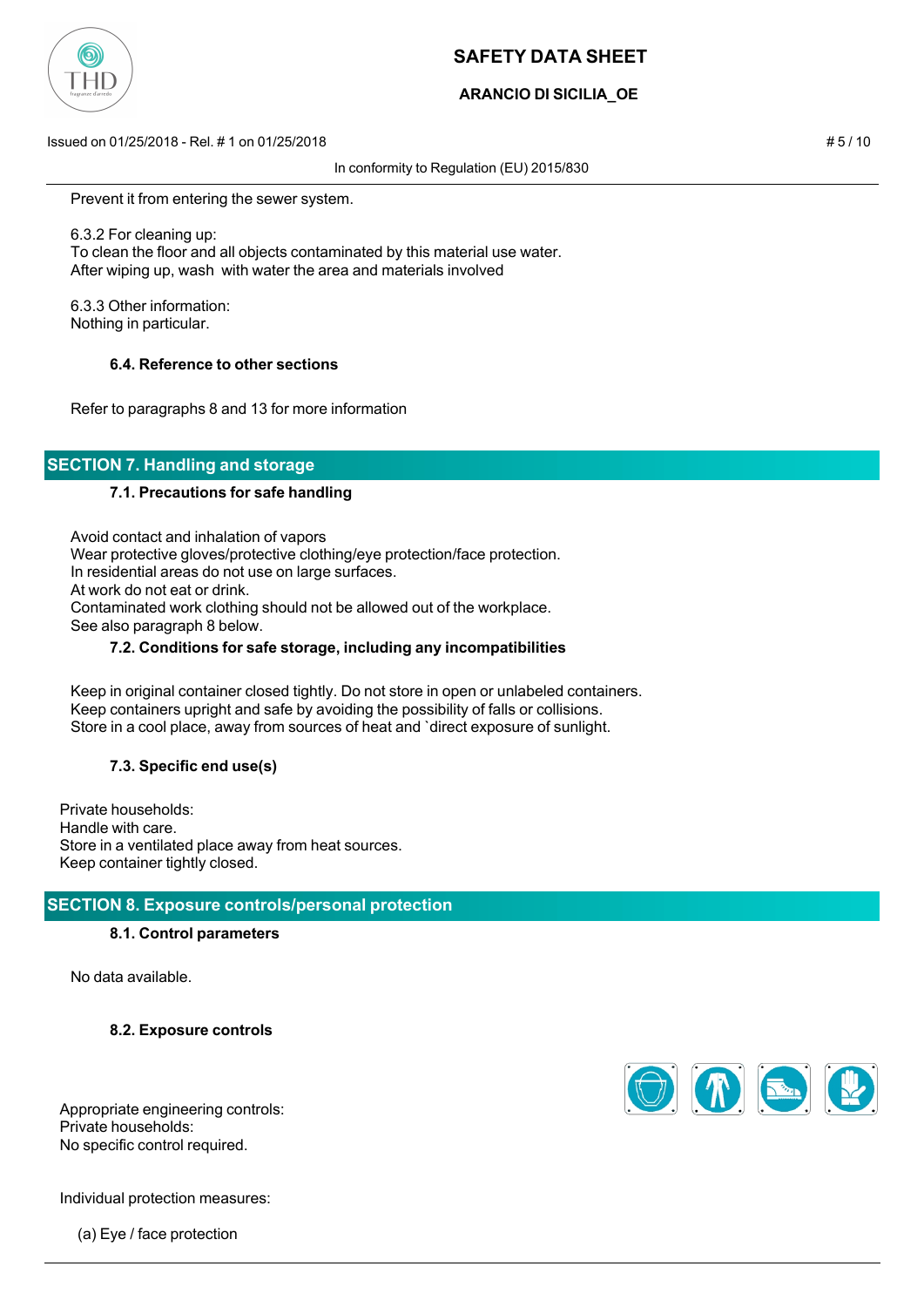

## **ARANCIO DI SICILIA\_OE**

Issued on 01/25/2018 - Rel. # 1 on 01/25/2018 # 5 / 10

In conformity to Regulation (EU) 2015/830

Prevent it from entering the sewer system.

 6.3.2 For cleaning up: To clean the floor and all objects contaminated by this material use water. After wiping up, wash with water the area and materials involved

 6.3.3 Other information: Nothing in particular.

### **6.4. Reference to other sections**

Refer to paragraphs 8 and 13 for more information

# **SECTION 7. Handling and storage**

#### **7.1. Precautions for safe handling**

 Avoid contact and inhalation of vapors Wear protective gloves/protective clothing/eye protection/face protection. In residential areas do not use on large surfaces. At work do not eat or drink. Contaminated work clothing should not be allowed out of the workplace. See also paragraph 8 below.

#### **7.2. Conditions for safe storage, including any incompatibilities**

 Keep in original container closed tightly. Do not store in open or unlabeled containers. Keep containers upright and safe by avoiding the possibility of falls or collisions. Store in a cool place, away from sources of heat and `direct exposure of sunlight.

### **7.3. Specific end use(s)**

Private households: Handle with care. Store in a ventilated place away from heat sources. Keep container tightly closed.

### **SECTION 8. Exposure controls/personal protection**

#### **8.1. Control parameters**

No data available.

**8.2. Exposure controls**

Appropriate engineering controls: Private households: No specific control required.

Individual protection measures:

(a) Eye / face protection

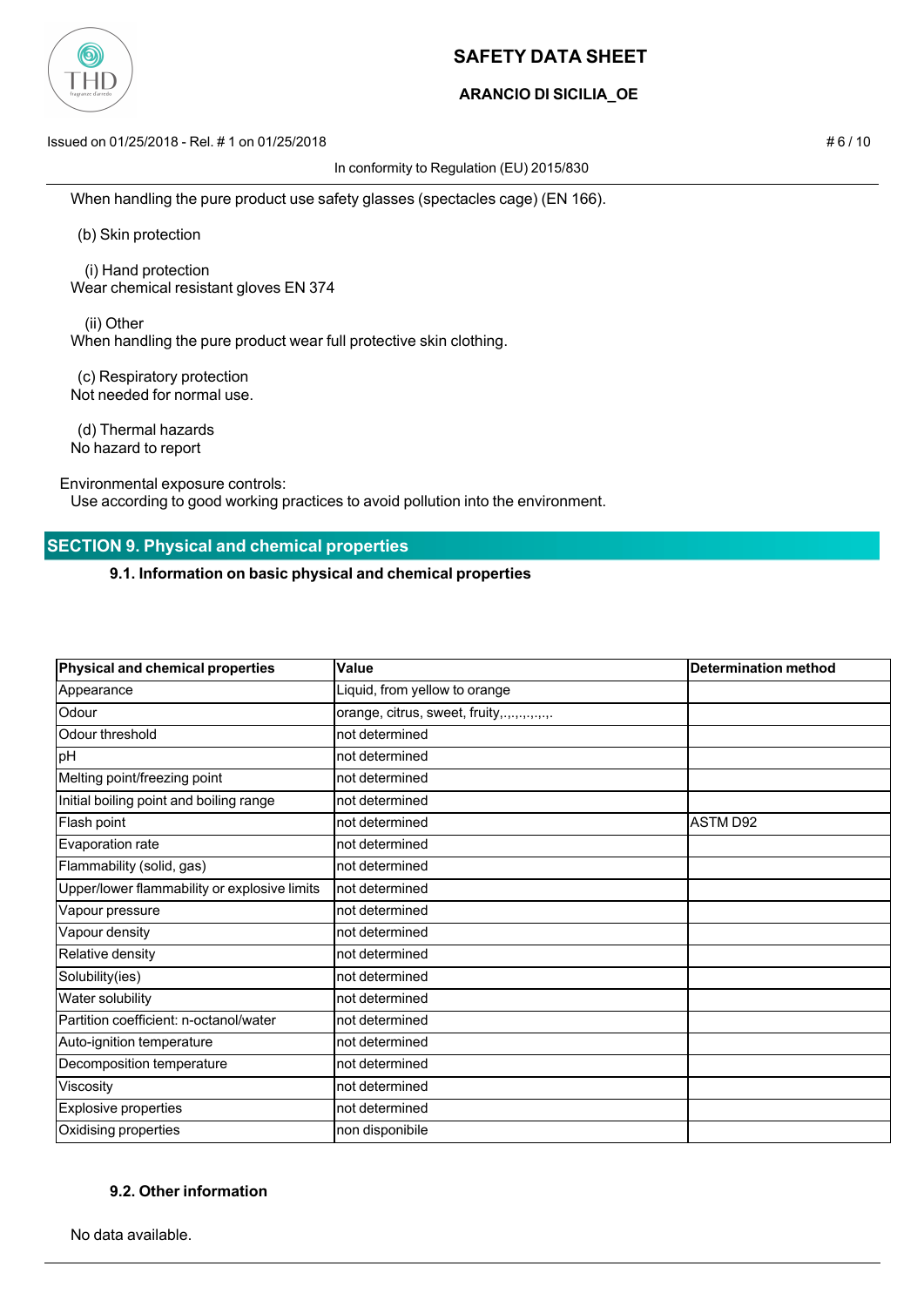

## **ARANCIO DI SICILIA\_OE**

Issued on 01/25/2018 - Rel. # 1 on 01/25/2018 # 6 / 10

In conformity to Regulation (EU) 2015/830

When handling the pure product use safety glasses (spectacles cage) (EN 166).

(b) Skin protection

 (i) Hand protection Wear chemical resistant gloves EN 374

 (ii) Other When handling the pure product wear full protective skin clothing.

 (c) Respiratory protection Not needed for normal use.

 (d) Thermal hazards No hazard to report

Environmental exposure controls:

Use according to good working practices to avoid pollution into the environment.

## **SECTION 9. Physical and chemical properties**

**9.1. Information on basic physical and chemical properties**

| Physical and chemical properties             | Value                                       | <b>Determination method</b> |
|----------------------------------------------|---------------------------------------------|-----------------------------|
| Appearance                                   | Liquid, from yellow to orange               |                             |
| Odour                                        | orange, citrus, sweet, fruity,.,.,.,.,.,.,. |                             |
| Odour threshold                              | not determined                              |                             |
| pH                                           | not determined                              |                             |
| Melting point/freezing point                 | not determined                              |                             |
| Initial boiling point and boiling range      | not determined                              |                             |
| Flash point                                  | not determined                              | <b>ASTM D92</b>             |
| Evaporation rate                             | not determined                              |                             |
| Flammability (solid, gas)                    | not determined                              |                             |
| Upper/lower flammability or explosive limits | not determined                              |                             |
| Vapour pressure                              | not determined                              |                             |
| Vapour density                               | not determined                              |                             |
| Relative density                             | not determined                              |                             |
| Solubility(ies)                              | not determined                              |                             |
| Water solubility                             | not determined                              |                             |
| Partition coefficient: n-octanol/water       | not determined                              |                             |
| Auto-ignition temperature                    | not determined                              |                             |
| Decomposition temperature                    | not determined                              |                             |
| Viscosity                                    | not determined                              |                             |
| <b>Explosive properties</b>                  | not determined                              |                             |
| Oxidising properties                         | non disponibile                             |                             |

### **9.2. Other information**

No data available.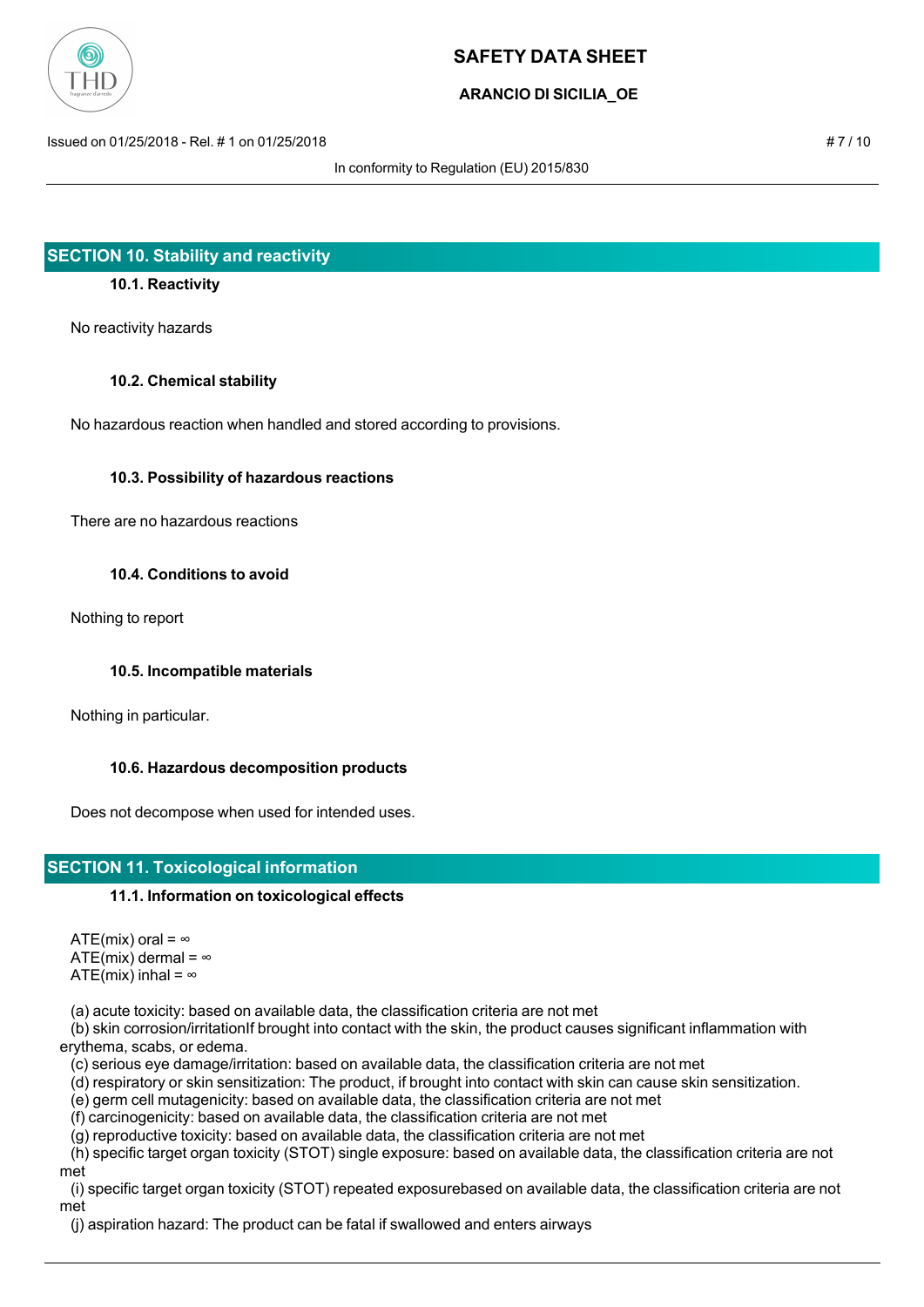

## **ARANCIO DI SICILIA\_OE**

Issued on 01/25/2018 - Rel. # 1 on 01/25/2018 # 7 / 10

In conformity to Regulation (EU) 2015/830

## **SECTION 10. Stability and reactivity**

### **10.1. Reactivity**

No reactivity hazards

#### **10.2. Chemical stability**

No hazardous reaction when handled and stored according to provisions.

#### **10.3. Possibility of hazardous reactions**

There are no hazardous reactions

#### **10.4. Conditions to avoid**

Nothing to report

### **10.5. Incompatible materials**

Nothing in particular.

### **10.6. Hazardous decomposition products**

Does not decompose when used for intended uses.

## **SECTION 11. Toxicological information**

### **11.1. Information on toxicological effects**

ATE(mix) oral =  $\infty$ ATE(mix) dermal =  $\infty$ ATE(mix) inhal =  $\infty$ 

(a) acute toxicity: based on available data, the classification criteria are not met

 (b) skin corrosion/irritationIf brought into contact with the skin, the product causes significant inflammation with erythema, scabs, or edema.

(c) serious eye damage/irritation: based on available data, the classification criteria are not met

(d) respiratory or skin sensitization: The product, if brought into contact with skin can cause skin sensitization.

(e) germ cell mutagenicity: based on available data, the classification criteria are not met

(f) carcinogenicity: based on available data, the classification criteria are not met

(g) reproductive toxicity: based on available data, the classification criteria are not met

 (h) specific target organ toxicity (STOT) single exposure: based on available data, the classification criteria are not met

 (i) specific target organ toxicity (STOT) repeated exposurebased on available data, the classification criteria are not met

(j) aspiration hazard: The product can be fatal if swallowed and enters airways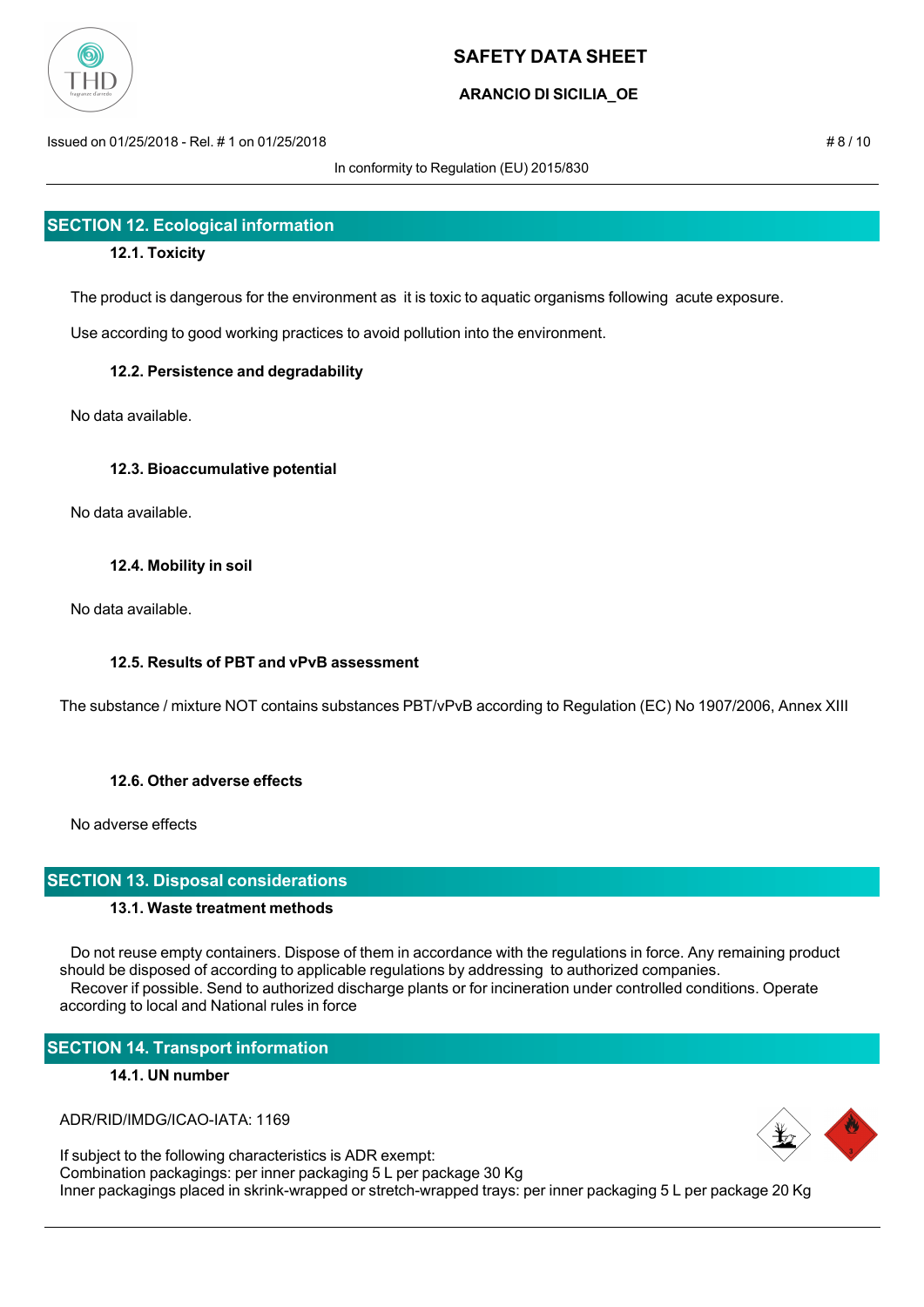

## **ARANCIO DI SICILIA\_OE**

Issued on 01/25/2018 - Rel. # 1 on 01/25/2018 # 8 / 10

In conformity to Regulation (EU) 2015/830

## **SECTION 12. Ecological information**

### **12.1. Toxicity**

The product is dangerous for the environment as it is toxic to aquatic organisms following acute exposure.

Use according to good working practices to avoid pollution into the environment.

### **12.2. Persistence and degradability**

No data available.

### **12.3. Bioaccumulative potential**

No data available.

### **12.4. Mobility in soil**

No data available.

### **12.5. Results of PBT and vPvB assessment**

The substance / mixture NOT contains substances PBT/vPvB according to Regulation (EC) No 1907/2006, Annex XIII

### **12.6. Other adverse effects**

No adverse effects

### **SECTION 13. Disposal considerations**

### **13.1. Waste treatment methods**

 Do not reuse empty containers. Dispose of them in accordance with the regulations in force. Any remaining product should be disposed of according to applicable regulations by addressing to authorized companies. Recover if possible. Send to authorized discharge plants or for incineration under controlled conditions. Operate according to local and National rules in force

## **SECTION 14. Transport information**

### **14.1. UN number**

ADR/RID/IMDG/ICAO-IATA: 1169

If subject to the following characteristics is ADR exempt: Combination packagings: per inner packaging 5 L per package 30 Kg Inner packagings placed in skrink-wrapped or stretch-wrapped trays: per inner packaging 5 L per package 20 Kg

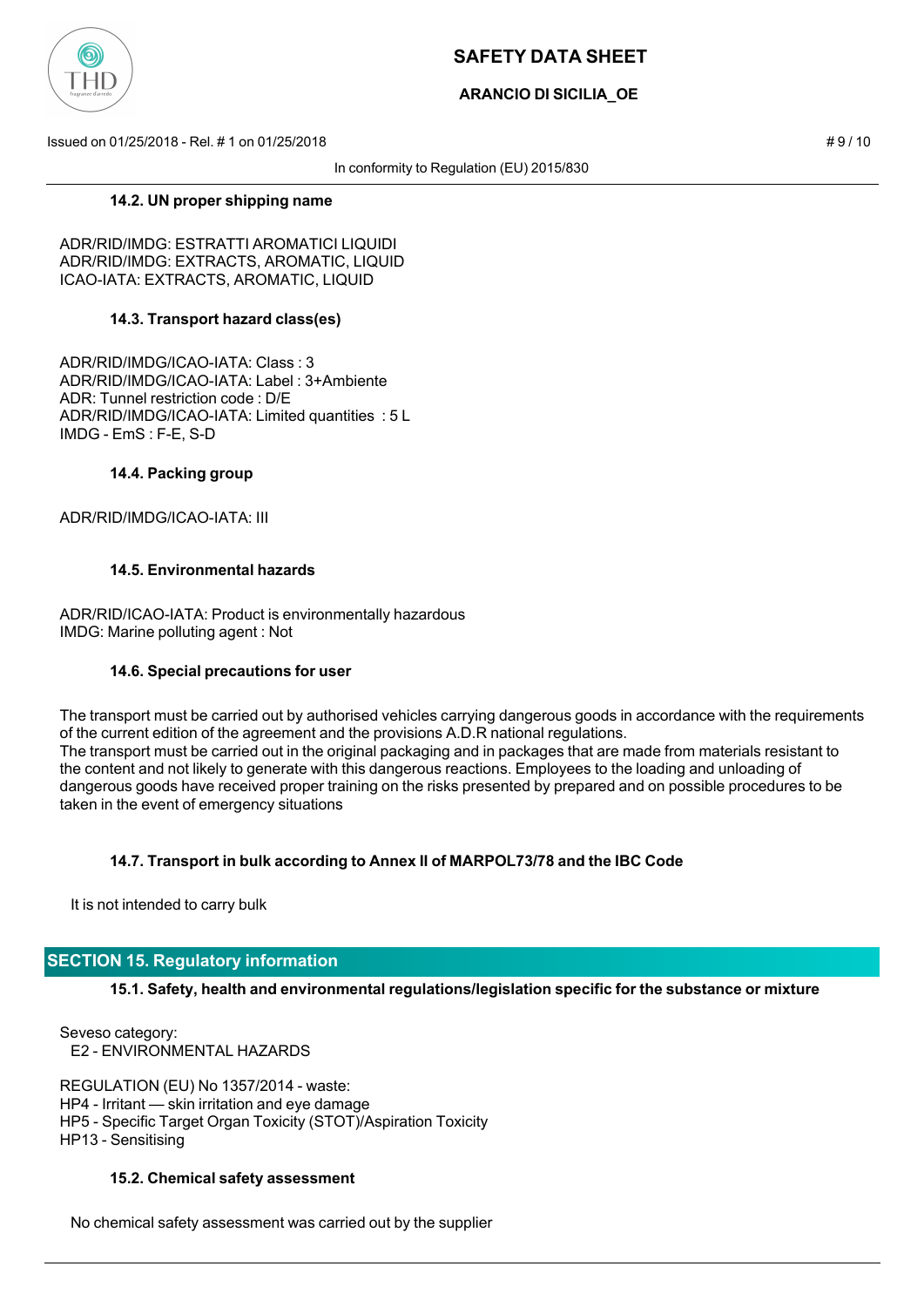

## **ARANCIO DI SICILIA\_OE**

Issued on 01/25/2018 - Rel. # 1 on 01/25/2018 # 9 / 10

In conformity to Regulation (EU) 2015/830

#### **14.2. UN proper shipping name**

ADR/RID/IMDG: ESTRATTI AROMATICI LIQUIDI ADR/RID/IMDG: EXTRACTS, AROMATIC, LIQUID ICAO-IATA: EXTRACTS, AROMATIC, LIQUID

### **14.3. Transport hazard class(es)**

ADR/RID/IMDG/ICAO-IATA: Class : 3 ADR/RID/IMDG/ICAO-IATA: Label : 3+Ambiente ADR: Tunnel restriction code : D/E ADR/RID/IMDG/ICAO-IATA: Limited quantities : 5 L IMDG - EmS : F-E, S-D

### **14.4. Packing group**

ADR/RID/IMDG/ICAO-IATA: III

### **14.5. Environmental hazards**

ADR/RID/ICAO-IATA: Product is environmentally hazardous IMDG: Marine polluting agent : Not

### **14.6. Special precautions for user**

The transport must be carried out by authorised vehicles carrying dangerous goods in accordance with the requirements of the current edition of the agreement and the provisions A.D.R national regulations. The transport must be carried out in the original packaging and in packages that are made from materials resistant to the content and not likely to generate with this dangerous reactions. Employees to the loading and unloading of dangerous goods have received proper training on the risks presented by prepared and on possible procedures to be taken in the event of emergency situations

## **14.7. Transport in bulk according to Annex II of MARPOL73/78 and the IBC Code**

It is not intended to carry bulk

## **SECTION 15. Regulatory information**

**15.1. Safety, health and environmental regulations/legislation specific for the substance or mixture**

Seveso category: E2 - ENVIRONMENTAL HAZARDS

REGULATION (EU) No 1357/2014 - waste: HP4 - Irritant — skin irritation and eye damage HP5 - Specific Target Organ Toxicity (STOT)/Aspiration Toxicity HP13 - Sensitising

### **15.2. Chemical safety assessment**

No chemical safety assessment was carried out by the supplier